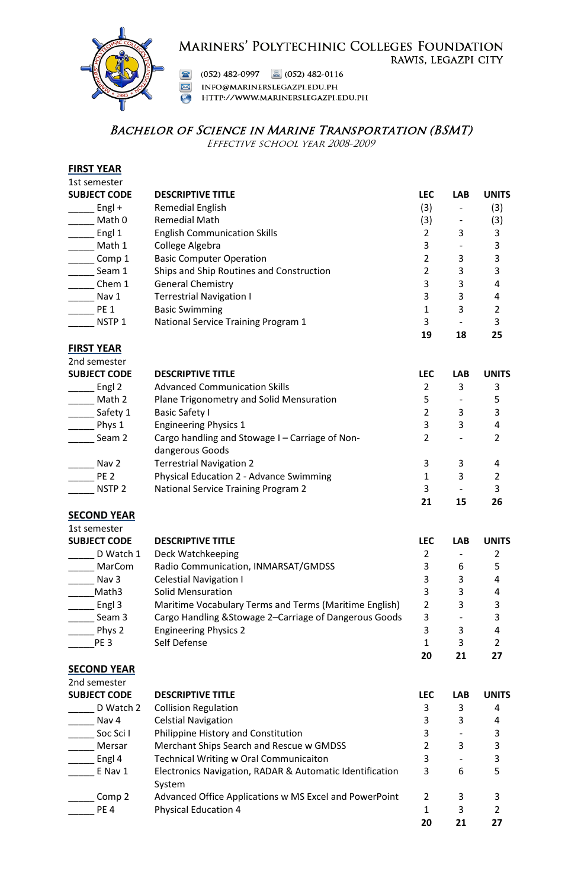## MARINERS' POLYTECHINIC COLLEGES FOUNDATION RAWIS, LEGAZPI CITY



(052) 482-0997 **a**  $(052)$  482-0116

M INFO@MARINERSLEGAZPI.EDU.PH

HTTP://WWW.MARINERSLEGAZPI.EDU.PH

# BACHELOR OF SCIENCE IN MARINE TRANSPORTATION (BSMT)

Effective school year 2008-2009

### **FIRST YEAR** 1st semester

| <b>SUBJECT CODE</b> | <b>DESCRIPTIVE TITLE</b>                 | <b>LEC</b> | <b>LAB</b> | <b>UNITS</b> |
|---------------------|------------------------------------------|------------|------------|--------------|
| $Engl +$            | Remedial English                         | (3)        |            | (3)          |
| Math 0              | <b>Remedial Math</b>                     | (3)        |            | (3)          |
| Engl 1              | <b>English Communication Skills</b>      |            | 3          |              |
| Math 1              | College Algebra                          | 3          |            |              |
| Comp 1              | <b>Basic Computer Operation</b>          |            | 3          |              |
| Seam 1              | Ships and Ship Routines and Construction |            | 3          | 3            |
| Chem 1              | <b>General Chemistry</b>                 | 3          | 3          |              |
| Nav 1               | <b>Terrestrial Navigation I</b>          | 3          | 3          | 4            |
| <b>PE 1</b>         | <b>Basic Swimming</b>                    |            | 3          |              |
| NSTP <sub>1</sub>   | National Service Training Program 1      | 3          |            |              |
|                     |                                          | 19         | 18         | 25           |

### **FIRST YEAR**

| 2nd semester        |                                                                    |            |            |              |
|---------------------|--------------------------------------------------------------------|------------|------------|--------------|
| <b>SUBJECT CODE</b> | <b>DESCRIPTIVE TITLE</b>                                           | <b>LEC</b> | <b>LAB</b> | <b>UNITS</b> |
| Engl 2              | <b>Advanced Communication Skills</b>                               |            | 3          | 3            |
| Math 2              | Plane Trigonometry and Solid Mensuration                           | 5          |            |              |
| Safety 1            | <b>Basic Safety I</b>                                              |            | 3          | 3            |
| Phys 1              | <b>Engineering Physics 1</b>                                       | 3          | 3          | 4            |
| Seam 2              | Cargo handling and Stowage I – Carriage of Non-<br>dangerous Goods |            |            |              |
| Nav 2               | <b>Terrestrial Navigation 2</b>                                    | 3          | 3          | 4            |
| PE <sub>2</sub>     | Physical Education 2 - Advance Swimming                            |            | 3          |              |
| NSTP <sub>2</sub>   | National Service Training Program 2                                | 3          |            | 3            |
|                     |                                                                    | 21         | 15         | 26           |

### **SECOND YEAR**

| 1st semester        |                                                        |            |            |              |
|---------------------|--------------------------------------------------------|------------|------------|--------------|
| <b>SUBJECT CODE</b> | <b>DESCRIPTIVE TITLE</b>                               | <b>LEC</b> | <b>LAB</b> | <b>UNITS</b> |
| D Watch 1           | Deck Watchkeeping                                      |            |            |              |
| MarCom              | Radio Communication, INMARSAT/GMDSS                    | 3          | 6          |              |
| Nav 3               | <b>Celestial Navigation I</b>                          | 3          | 3          | 4            |
| Math3               | Solid Mensuration                                      | 3          | 3          | 4            |
| Engl 3              | Maritime Vocabulary Terms and Terms (Maritime English) | 2          | 3          | ς            |
| Seam 3              | Cargo Handling & Stowage 2-Carriage of Dangerous Goods | 3          |            |              |
| Phys 2              | <b>Engineering Physics 2</b>                           | 3          | 3          | 4            |
| PE <sub>3</sub>     | Self Defense                                           |            | ς          |              |
|                     |                                                        | 20         | 21         | 27           |

### **SECOND YEAR**

| 2nd semester        |                                                                    |                |            |              |
|---------------------|--------------------------------------------------------------------|----------------|------------|--------------|
| <b>SUBJECT CODE</b> | <b>DESCRIPTIVE TITLE</b>                                           | <b>LEC</b>     | <b>LAB</b> | <b>UNITS</b> |
| D Watch 2           | <b>Collision Regulation</b>                                        | 3              | 3          | 4            |
| Nav 4               | <b>Celstial Navigation</b>                                         | 3              | 3          | 4            |
| Soc Sci I           | Philippine History and Constitution                                | 3              |            |              |
| Mersar              | Merchant Ships Search and Rescue w GMDSS                           |                | 3          |              |
| Engl 4              | <b>Technical Writing w Oral Communicaiton</b>                      | 3              |            |              |
| E Nav 1             | Electronics Navigation, RADAR & Automatic Identification<br>System | 3              | 6          |              |
| Comp 2              | Advanced Office Applications w MS Excel and PowerPoint             | $\overline{2}$ | 3          |              |
| PE <sub>4</sub>     | <b>Physical Education 4</b>                                        |                | 3          |              |
|                     |                                                                    | 20             | 21         | 27           |